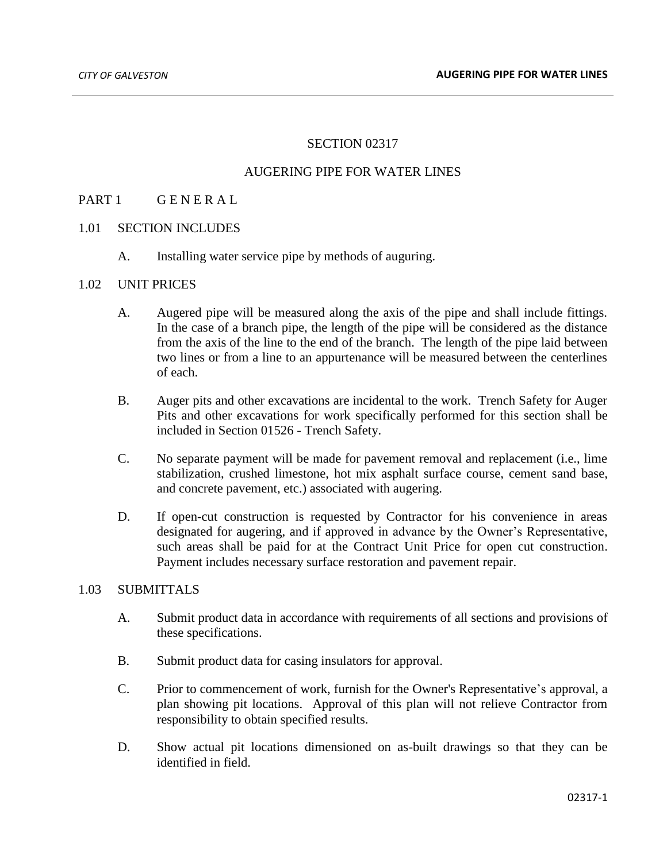# SECTION 02317

# AUGERING PIPE FOR WATER LINES

# PART 1 GENERAL

#### 1.01 SECTION INCLUDES

A. Installing water service pipe by methods of auguring.

#### 1.02 UNIT PRICES

- A. Augered pipe will be measured along the axis of the pipe and shall include fittings. In the case of a branch pipe, the length of the pipe will be considered as the distance from the axis of the line to the end of the branch. The length of the pipe laid between two lines or from a line to an appurtenance will be measured between the centerlines of each.
- B. Auger pits and other excavations are incidental to the work. Trench Safety for Auger Pits and other excavations for work specifically performed for this section shall be included in Section 01526 - Trench Safety.
- C. No separate payment will be made for pavement removal and replacement (i.e., lime stabilization, crushed limestone, hot mix asphalt surface course, cement sand base, and concrete pavement, etc.) associated with augering.
- D. If open-cut construction is requested by Contractor for his convenience in areas designated for augering, and if approved in advance by the Owner's Representative, such areas shall be paid for at the Contract Unit Price for open cut construction. Payment includes necessary surface restoration and pavement repair.

### 1.03 SUBMITTALS

- A. Submit product data in accordance with requirements of all sections and provisions of these specifications.
- B. Submit product data for casing insulators for approval.
- C. Prior to commencement of work, furnish for the Owner's Representative's approval, a plan showing pit locations. Approval of this plan will not relieve Contractor from responsibility to obtain specified results.
- D. Show actual pit locations dimensioned on as-built drawings so that they can be identified in field.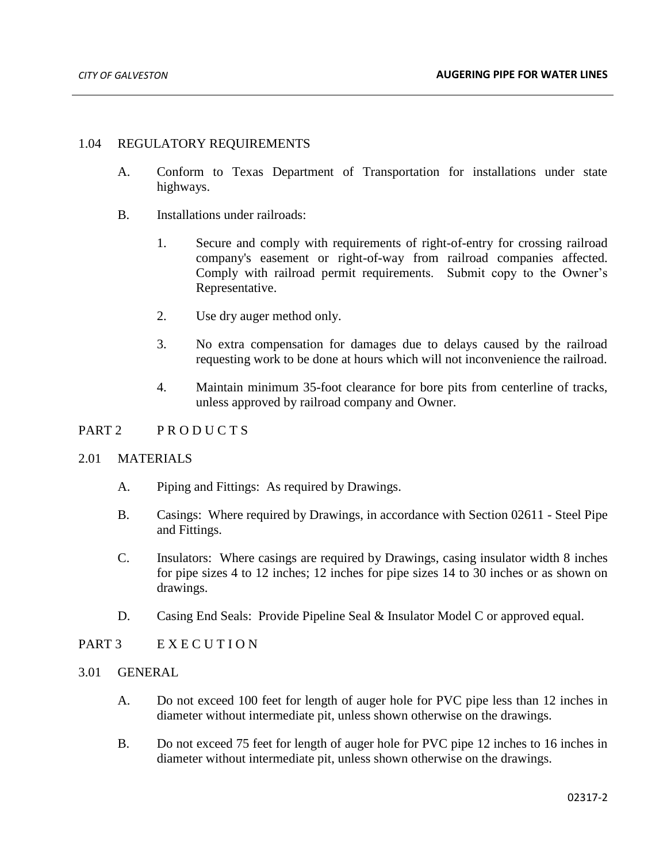### 1.04 REGULATORY REQUIREMENTS

- A. Conform to Texas Department of Transportation for installations under state highways.
- B. Installations under railroads:
	- 1. Secure and comply with requirements of right-of-entry for crossing railroad company's easement or right-of-way from railroad companies affected. Comply with railroad permit requirements. Submit copy to the Owner's Representative.
	- 2. Use dry auger method only.
	- 3. No extra compensation for damages due to delays caused by the railroad requesting work to be done at hours which will not inconvenience the railroad.
	- 4. Maintain minimum 35-foot clearance for bore pits from centerline of tracks, unless approved by railroad company and Owner.

# PART 2 PRODUCTS

#### 2.01 MATERIALS

- A. Piping and Fittings: As required by Drawings.
- B. Casings: Where required by Drawings, in accordance with Section 02611 Steel Pipe and Fittings.
- C. Insulators: Where casings are required by Drawings, casing insulator width 8 inches for pipe sizes 4 to 12 inches; 12 inches for pipe sizes 14 to 30 inches or as shown on drawings.
- D. Casing End Seals: Provide Pipeline Seal & Insulator Model C or approved equal.
- PART 3 E X E C U T I O N
- 3.01 GENERAL
	- A. Do not exceed 100 feet for length of auger hole for PVC pipe less than 12 inches in diameter without intermediate pit, unless shown otherwise on the drawings.
	- B. Do not exceed 75 feet for length of auger hole for PVC pipe 12 inches to 16 inches in diameter without intermediate pit, unless shown otherwise on the drawings.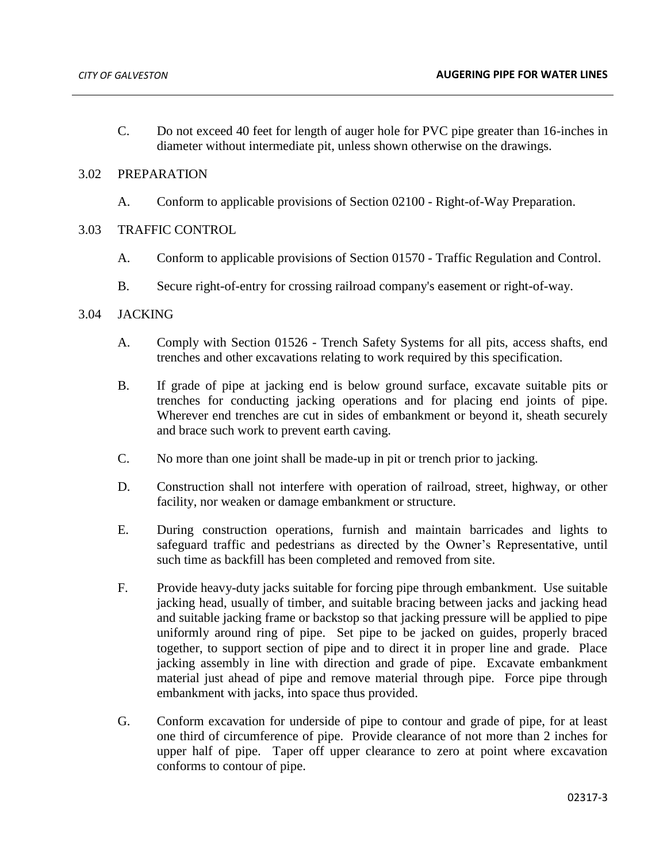C. Do not exceed 40 feet for length of auger hole for PVC pipe greater than 16-inches in diameter without intermediate pit, unless shown otherwise on the drawings.

### 3.02 PREPARATION

- A. Conform to applicable provisions of Section 02100 Right-of-Way Preparation.
- 3.03 TRAFFIC CONTROL
	- A. Conform to applicable provisions of Section 01570 Traffic Regulation and Control.
	- B. Secure right-of-entry for crossing railroad company's easement or right-of-way.

#### 3.04 JACKING

- A. Comply with Section 01526 Trench Safety Systems for all pits, access shafts, end trenches and other excavations relating to work required by this specification.
- B. If grade of pipe at jacking end is below ground surface, excavate suitable pits or trenches for conducting jacking operations and for placing end joints of pipe. Wherever end trenches are cut in sides of embankment or beyond it, sheath securely and brace such work to prevent earth caving.
- C. No more than one joint shall be made-up in pit or trench prior to jacking.
- D. Construction shall not interfere with operation of railroad, street, highway, or other facility, nor weaken or damage embankment or structure.
- E. During construction operations, furnish and maintain barricades and lights to safeguard traffic and pedestrians as directed by the Owner's Representative, until such time as backfill has been completed and removed from site.
- F. Provide heavy-duty jacks suitable for forcing pipe through embankment. Use suitable jacking head, usually of timber, and suitable bracing between jacks and jacking head and suitable jacking frame or backstop so that jacking pressure will be applied to pipe uniformly around ring of pipe. Set pipe to be jacked on guides, properly braced together, to support section of pipe and to direct it in proper line and grade. Place jacking assembly in line with direction and grade of pipe. Excavate embankment material just ahead of pipe and remove material through pipe. Force pipe through embankment with jacks, into space thus provided.
- G. Conform excavation for underside of pipe to contour and grade of pipe, for at least one third of circumference of pipe. Provide clearance of not more than 2 inches for upper half of pipe. Taper off upper clearance to zero at point where excavation conforms to contour of pipe.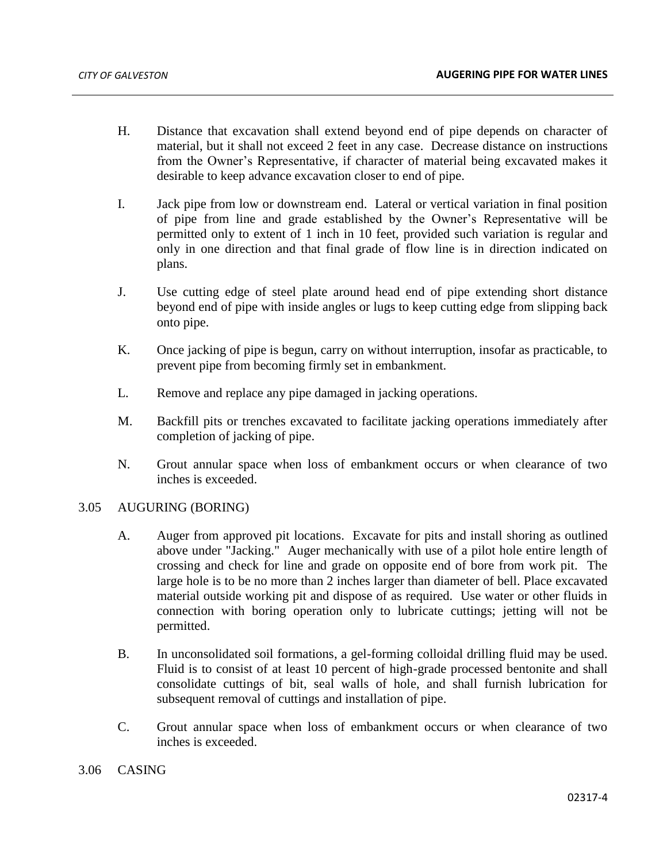- H. Distance that excavation shall extend beyond end of pipe depends on character of material, but it shall not exceed 2 feet in any case. Decrease distance on instructions from the Owner's Representative, if character of material being excavated makes it desirable to keep advance excavation closer to end of pipe.
- I. Jack pipe from low or downstream end. Lateral or vertical variation in final position of pipe from line and grade established by the Owner's Representative will be permitted only to extent of 1 inch in 10 feet, provided such variation is regular and only in one direction and that final grade of flow line is in direction indicated on plans.
- J. Use cutting edge of steel plate around head end of pipe extending short distance beyond end of pipe with inside angles or lugs to keep cutting edge from slipping back onto pipe.
- K. Once jacking of pipe is begun, carry on without interruption, insofar as practicable, to prevent pipe from becoming firmly set in embankment.
- L. Remove and replace any pipe damaged in jacking operations.
- M. Backfill pits or trenches excavated to facilitate jacking operations immediately after completion of jacking of pipe.
- N. Grout annular space when loss of embankment occurs or when clearance of two inches is exceeded.

#### 3.05 AUGURING (BORING)

- A. Auger from approved pit locations. Excavate for pits and install shoring as outlined above under "Jacking." Auger mechanically with use of a pilot hole entire length of crossing and check for line and grade on opposite end of bore from work pit. The large hole is to be no more than 2 inches larger than diameter of bell. Place excavated material outside working pit and dispose of as required. Use water or other fluids in connection with boring operation only to lubricate cuttings; jetting will not be permitted.
- B. In unconsolidated soil formations, a gel-forming colloidal drilling fluid may be used. Fluid is to consist of at least 10 percent of high-grade processed bentonite and shall consolidate cuttings of bit, seal walls of hole, and shall furnish lubrication for subsequent removal of cuttings and installation of pipe.
- C. Grout annular space when loss of embankment occurs or when clearance of two inches is exceeded.

#### 3.06 CASING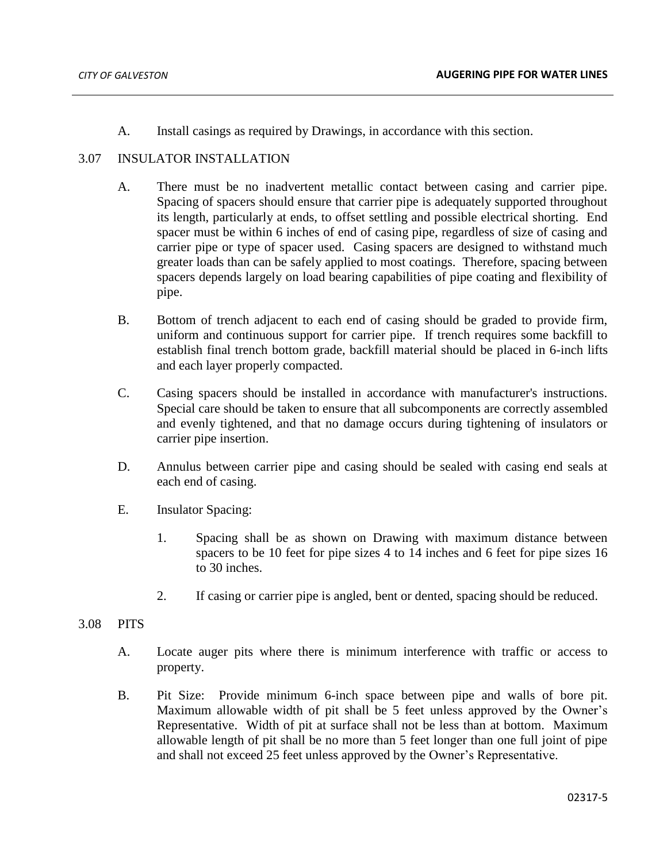A. Install casings as required by Drawings, in accordance with this section.

### 3.07 INSULATOR INSTALLATION

- A. There must be no inadvertent metallic contact between casing and carrier pipe. Spacing of spacers should ensure that carrier pipe is adequately supported throughout its length, particularly at ends, to offset settling and possible electrical shorting. End spacer must be within 6 inches of end of casing pipe, regardless of size of casing and carrier pipe or type of spacer used. Casing spacers are designed to withstand much greater loads than can be safely applied to most coatings. Therefore, spacing between spacers depends largely on load bearing capabilities of pipe coating and flexibility of pipe.
- B. Bottom of trench adjacent to each end of casing should be graded to provide firm, uniform and continuous support for carrier pipe. If trench requires some backfill to establish final trench bottom grade, backfill material should be placed in 6-inch lifts and each layer properly compacted.
- C. Casing spacers should be installed in accordance with manufacturer's instructions. Special care should be taken to ensure that all subcomponents are correctly assembled and evenly tightened, and that no damage occurs during tightening of insulators or carrier pipe insertion.
- D. Annulus between carrier pipe and casing should be sealed with casing end seals at each end of casing.
- E. Insulator Spacing:
	- 1. Spacing shall be as shown on Drawing with maximum distance between spacers to be 10 feet for pipe sizes 4 to 14 inches and 6 feet for pipe sizes 16 to 30 inches.
	- 2. If casing or carrier pipe is angled, bent or dented, spacing should be reduced.

#### 3.08 PITS

- A. Locate auger pits where there is minimum interference with traffic or access to property.
- B. Pit Size: Provide minimum 6-inch space between pipe and walls of bore pit. Maximum allowable width of pit shall be 5 feet unless approved by the Owner's Representative. Width of pit at surface shall not be less than at bottom. Maximum allowable length of pit shall be no more than 5 feet longer than one full joint of pipe and shall not exceed 25 feet unless approved by the Owner's Representative.